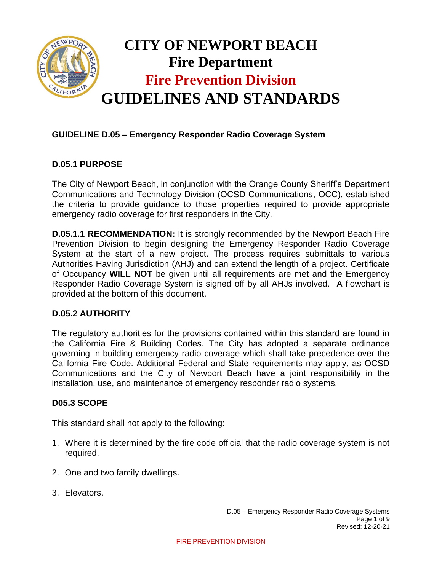

## **GUIDELINE D.05 – Emergency Responder Radio Coverage System**

### **D.05.1 PURPOSE**

The City of Newport Beach, in conjunction with the Orange County Sheriff's Department Communications and Technology Division (OCSD Communications, OCC), established the criteria to provide guidance to those properties required to provide appropriate emergency radio coverage for first responders in the City.

**D.05.1.1 RECOMMENDATION:** It is strongly recommended by the Newport Beach Fire Prevention Division to begin designing the Emergency Responder Radio Coverage System at the start of a new project. The process requires submittals to various Authorities Having Jurisdiction (AHJ) and can extend the length of a project. Certificate of Occupancy **WILL NOT** be given until all requirements are met and the Emergency Responder Radio Coverage System is signed off by all AHJs involved. A flowchart is provided at the bottom of this document.

### **D.05.2 AUTHORITY**

The regulatory authorities for the provisions contained within this standard are found in the California Fire & Building Codes. The City has adopted a separate ordinance governing in-building emergency radio coverage which shall take precedence over the California Fire Code. Additional Federal and State requirements may apply, as OCSD Communications and the City of Newport Beach have a joint responsibility in the installation, use, and maintenance of emergency responder radio systems.

#### **D05.3 SCOPE**

This standard shall not apply to the following:

- 1. Where it is determined by the fire code official that the radio coverage system is not required.
- 2. One and two family dwellings.
- 3. Elevators.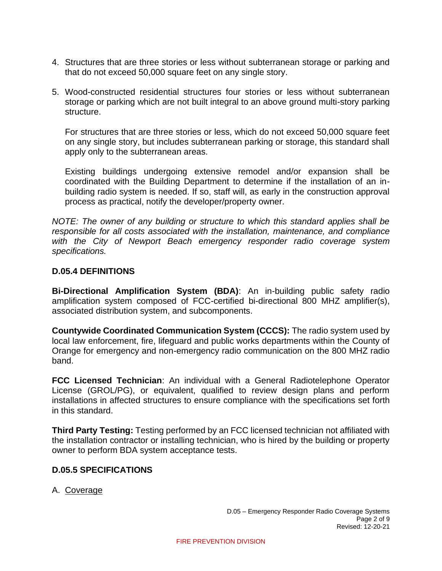- 4. Structures that are three stories or less without subterranean storage or parking and that do not exceed 50,000 square feet on any single story.
- 5. Wood-constructed residential structures four stories or less without subterranean storage or parking which are not built integral to an above ground multi-story parking structure.

For structures that are three stories or less, which do not exceed 50,000 square feet on any single story, but includes subterranean parking or storage, this standard shall apply only to the subterranean areas.

Existing buildings undergoing extensive remodel and/or expansion shall be coordinated with the Building Department to determine if the installation of an inbuilding radio system is needed. If so, staff will, as early in the construction approval process as practical, notify the developer/property owner.

*NOTE: The owner of any building or structure to which this standard applies shall be responsible for all costs associated with the installation, maintenance, and compliance with the City of Newport Beach emergency responder radio coverage system specifications.* 

#### **D.05.4 DEFINITIONS**

**Bi-Directional Amplification System (BDA)**: An in-building public safety radio amplification system composed of FCC-certified bi-directional 800 MHZ amplifier(s), associated distribution system, and subcomponents.

**Countywide Coordinated Communication System (CCCS):** The radio system used by local law enforcement, fire, lifeguard and public works departments within the County of Orange for emergency and non-emergency radio communication on the 800 MHZ radio band.

**FCC Licensed Technician**: An individual with a General Radiotelephone Operator License (GROL/PG), or equivalent, qualified to review design plans and perform installations in affected structures to ensure compliance with the specifications set forth in this standard.

**Third Party Testing:** Testing performed by an FCC licensed technician not affiliated with the installation contractor or installing technician, who is hired by the building or property owner to perform BDA system acceptance tests.

### **D.05.5 SPECIFICATIONS**

### A. Coverage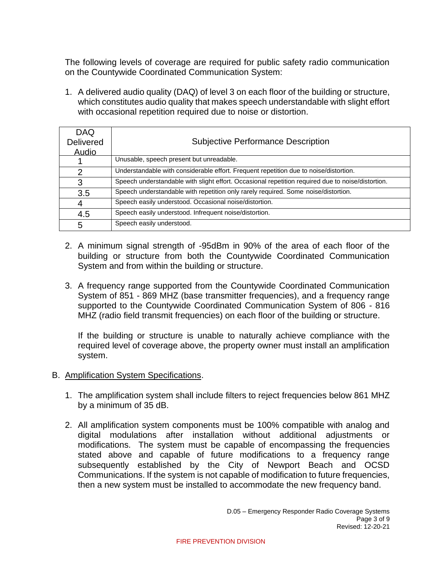The following levels of coverage are required for public safety radio communication on the Countywide Coordinated Communication System:

1. A delivered audio quality (DAQ) of level 3 on each floor of the building or structure, which constitutes audio quality that makes speech understandable with slight effort with occasional repetition required due to noise or distortion.

| <b>DAQ</b>       |                                                                                                   |
|------------------|---------------------------------------------------------------------------------------------------|
| <b>Delivered</b> | <b>Subjective Performance Description</b>                                                         |
| <b>Audio</b>     |                                                                                                   |
|                  | Unusable, speech present but unreadable.                                                          |
| $\overline{2}$   | Understandable with considerable effort. Frequent repetition due to noise/distortion.             |
| 3                | Speech understandable with slight effort. Occasional repetition required due to noise/distortion. |
| 3.5              | Speech understandable with repetition only rarely required. Some noise/distortion.                |
| 4                | Speech easily understood. Occasional noise/distortion.                                            |
| 4.5              | Speech easily understood. Infrequent noise/distortion.                                            |
| 5                | Speech easily understood.                                                                         |

- 2. A minimum signal strength of -95dBm in 90% of the area of each floor of the building or structure from both the Countywide Coordinated Communication System and from within the building or structure.
- 3. A frequency range supported from the Countywide Coordinated Communication System of 851 - 869 MHZ (base transmitter frequencies), and a frequency range supported to the Countywide Coordinated Communication System of 806 - 816 MHZ (radio field transmit frequencies) on each floor of the building or structure.

If the building or structure is unable to naturally achieve compliance with the required level of coverage above, the property owner must install an amplification system.

### B. Amplification System Specifications.

- 1. The amplification system shall include filters to reject frequencies below 861 MHZ by a minimum of 35 dB.
- 2. All amplification system components must be 100% compatible with analog and digital modulations after installation without additional adjustments or modifications. The system must be capable of encompassing the frequencies stated above and capable of future modifications to a frequency range subsequently established by the City of Newport Beach and OCSD Communications. If the system is not capable of modification to future frequencies, then a new system must be installed to accommodate the new frequency band.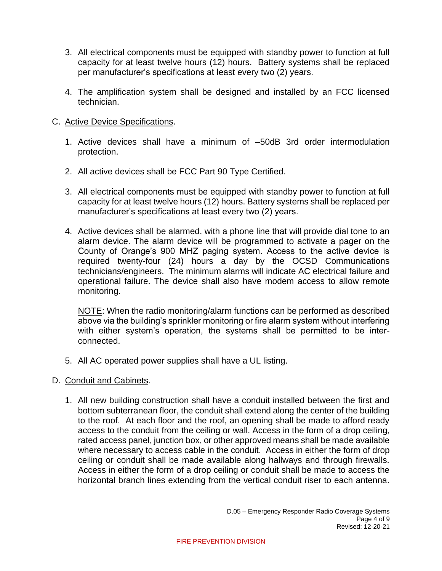- 3. All electrical components must be equipped with standby power to function at full capacity for at least twelve hours (12) hours. Battery systems shall be replaced per manufacturer's specifications at least every two (2) years.
- 4. The amplification system shall be designed and installed by an FCC licensed technician.
- C. Active Device Specifications.
	- 1. Active devices shall have a minimum of –50dB 3rd order intermodulation protection.
	- 2. All active devices shall be FCC Part 90 Type Certified.
	- 3. All electrical components must be equipped with standby power to function at full capacity for at least twelve hours (12) hours. Battery systems shall be replaced per manufacturer's specifications at least every two (2) years.
	- 4. Active devices shall be alarmed, with a phone line that will provide dial tone to an alarm device. The alarm device will be programmed to activate a pager on the County of Orange's 900 MHZ paging system. Access to the active device is required twenty-four (24) hours a day by the OCSD Communications technicians/engineers. The minimum alarms will indicate AC electrical failure and operational failure. The device shall also have modem access to allow remote monitoring.

NOTE: When the radio monitoring/alarm functions can be performed as described above via the building's sprinkler monitoring or fire alarm system without interfering with either system's operation, the systems shall be permitted to be interconnected.

- 5. All AC operated power supplies shall have a UL listing.
- D. Conduit and Cabinets.
	- 1. All new building construction shall have a conduit installed between the first and bottom subterranean floor, the conduit shall extend along the center of the building to the roof. At each floor and the roof, an opening shall be made to afford ready access to the conduit from the ceiling or wall. Access in the form of a drop ceiling, rated access panel, junction box, or other approved means shall be made available where necessary to access cable in the conduit. Access in either the form of drop ceiling or conduit shall be made available along hallways and through firewalls. Access in either the form of a drop ceiling or conduit shall be made to access the horizontal branch lines extending from the vertical conduit riser to each antenna.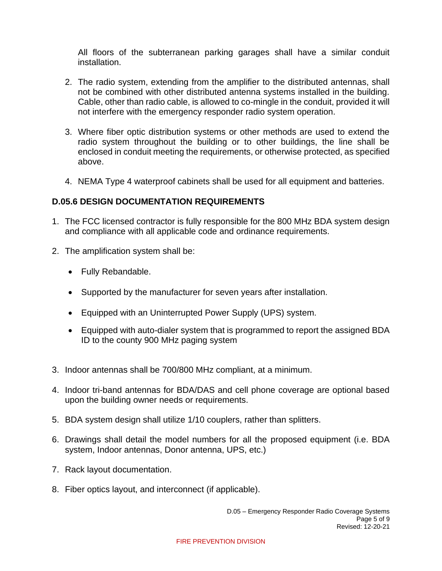All floors of the subterranean parking garages shall have a similar conduit installation.

- 2. The radio system, extending from the amplifier to the distributed antennas, shall not be combined with other distributed antenna systems installed in the building. Cable, other than radio cable, is allowed to co-mingle in the conduit, provided it will not interfere with the emergency responder radio system operation.
- 3. Where fiber optic distribution systems or other methods are used to extend the radio system throughout the building or to other buildings, the line shall be enclosed in conduit meeting the requirements, or otherwise protected, as specified above.
- 4. NEMA Type 4 waterproof cabinets shall be used for all equipment and batteries.

## **D.05.6 DESIGN DOCUMENTATION REQUIREMENTS**

- 1. The FCC licensed contractor is fully responsible for the 800 MHz BDA system design and compliance with all applicable code and ordinance requirements.
- 2. The amplification system shall be:
	- Fully Rebandable.
	- Supported by the manufacturer for seven years after installation.
	- Equipped with an Uninterrupted Power Supply (UPS) system.
	- Equipped with auto-dialer system that is programmed to report the assigned BDA ID to the county 900 MHz paging system
- 3. Indoor antennas shall be 700/800 MHz compliant, at a minimum.
- 4. Indoor tri-band antennas for BDA/DAS and cell phone coverage are optional based upon the building owner needs or requirements.
- 5. BDA system design shall utilize 1/10 couplers, rather than splitters.
- 6. Drawings shall detail the model numbers for all the proposed equipment (i.e. BDA system, Indoor antennas, Donor antenna, UPS, etc.)
- 7. Rack layout documentation.
- 8. Fiber optics layout, and interconnect (if applicable).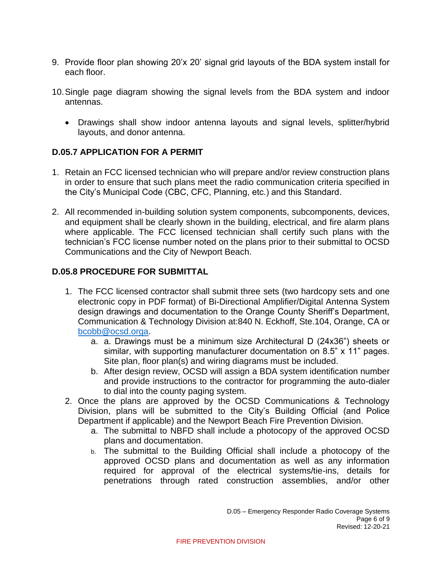- 9. Provide floor plan showing 20'x 20' signal grid layouts of the BDA system install for each floor.
- 10.Single page diagram showing the signal levels from the BDA system and indoor antennas.
	- Drawings shall show indoor antenna layouts and signal levels, splitter/hybrid layouts, and donor antenna.

# **D.05.7 APPLICATION FOR A PERMIT**

- 1. Retain an FCC licensed technician who will prepare and/or review construction plans in order to ensure that such plans meet the radio communication criteria specified in the City's Municipal Code (CBC, CFC, Planning, etc.) and this Standard.
- 2. All recommended in-building solution system components, subcomponents, devices, and equipment shall be clearly shown in the building, electrical, and fire alarm plans where applicable. The FCC licensed technician shall certify such plans with the technician's FCC license number noted on the plans prior to their submittal to OCSD Communications and the City of Newport Beach.

# **D.05.8 PROCEDURE FOR SUBMITTAL**

- 1. The FCC licensed contractor shall submit three sets (two hardcopy sets and one electronic copy in PDF format) of Bi-Directional Amplifier/Digital Antenna System design drawings and documentation to the Orange County Sheriff's Department, Communication & Technology Division at:840 N. Eckhoff, Ste.104, Orange, CA or [bcobb@ocsd.orga.](mailto:bcobb@ocsd.orga)
	- a. a. Drawings must be a minimum size Architectural D (24x36") sheets or similar, with supporting manufacturer documentation on 8.5" x 11" pages. Site plan, floor plan(s) and wiring diagrams must be included.
	- b. After design review, OCSD will assign a BDA system identification number and provide instructions to the contractor for programming the auto-dialer to dial into the county paging system.
- 2. Once the plans are approved by the OCSD Communications & Technology Division, plans will be submitted to the City's Building Official (and Police Department if applicable) and the Newport Beach Fire Prevention Division.
	- a. The submittal to NBFD shall include a photocopy of the approved OCSD plans and documentation.
	- b. The submittal to the Building Official shall include a photocopy of the approved OCSD plans and documentation as well as any information required for approval of the electrical systems/tie-ins, details for penetrations through rated construction assemblies, and/or other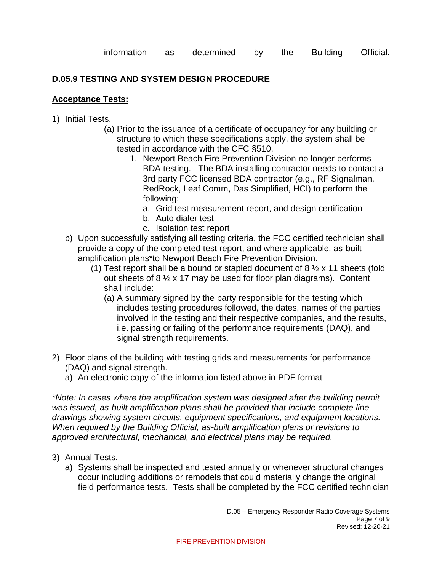# **D.05.9 TESTING AND SYSTEM DESIGN PROCEDURE**

#### **Acceptance Tests:**

- 1) Initial Tests.
	- (a) Prior to the issuance of a certificate of occupancy for any building or structure to which these specifications apply, the system shall be tested in accordance with the CFC §510.
		- 1. Newport Beach Fire Prevention Division no longer performs BDA testing. The BDA installing contractor needs to contact a 3rd party FCC licensed BDA contractor (e.g., RF Signalman, RedRock, Leaf Comm, Das Simplified, HCI) to perform the following:
			- a. Grid test measurement report, and design certification
			- b. Auto dialer test
			- c. Isolation test report
	- b) Upon successfully satisfying all testing criteria, the FCC certified technician shall provide a copy of the completed test report, and where applicable, as-built amplification plans\*to Newport Beach Fire Prevention Division.
		- (1) Test report shall be a bound or stapled document of 8  $\frac{1}{2} \times 11$  sheets (fold out sheets of 8  $\frac{1}{2}$  x 17 may be used for floor plan diagrams). Content shall include:
			- (a) A summary signed by the party responsible for the testing which includes testing procedures followed, the dates, names of the parties involved in the testing and their respective companies, and the results, i.e. passing or failing of the performance requirements (DAQ), and signal strength requirements.
- 2) Floor plans of the building with testing grids and measurements for performance (DAQ) and signal strength.
	- a) An electronic copy of the information listed above in PDF format

*\*Note: In cases where the amplification system was designed after the building permit*  was *issued, as-built amplification plans shall be provided that include complete line drawings showing system circuits, equipment specifications, and equipment locations. When required by the Building Official, as-built amplification plans or revisions to approved architectural, mechanical, and electrical plans may be required.*

- 3) Annual Tests.
	- a) Systems shall be inspected and tested annually or whenever structural changes occur including additions or remodels that could materially change the original field performance tests. Tests shall be completed by the FCC certified technician

D.05 – Emergency Responder Radio Coverage Systems Page 7 of 9 Revised: 12-20-21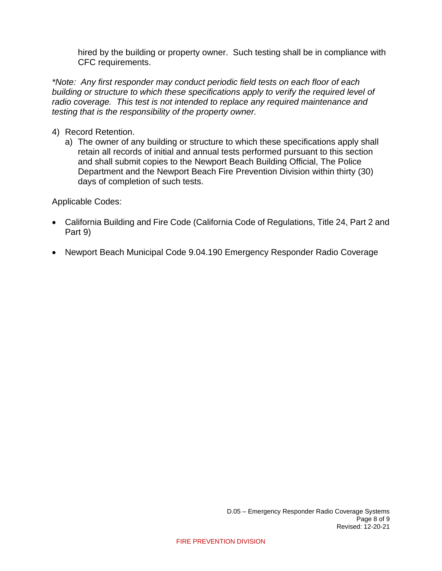hired by the building or property owner. Such testing shall be in compliance with CFC requirements.

*\*Note: Any first responder may conduct periodic field tests on each floor of each building or structure to which these specifications apply to verify the required level of radio coverage. This test is not intended to replace any required maintenance and testing that is the responsibility of the property owner.*

- 4) Record Retention.
	- a) The owner of any building or structure to which these specifications apply shall retain all records of initial and annual tests performed pursuant to this section and shall submit copies to the Newport Beach Building Official, The Police Department and the Newport Beach Fire Prevention Division within thirty (30) days of completion of such tests.

Applicable Codes:

- California Building and Fire Code (California Code of Regulations, Title 24, Part 2 and Part 9)
- Newport Beach Municipal Code 9.04.190 Emergency Responder Radio Coverage